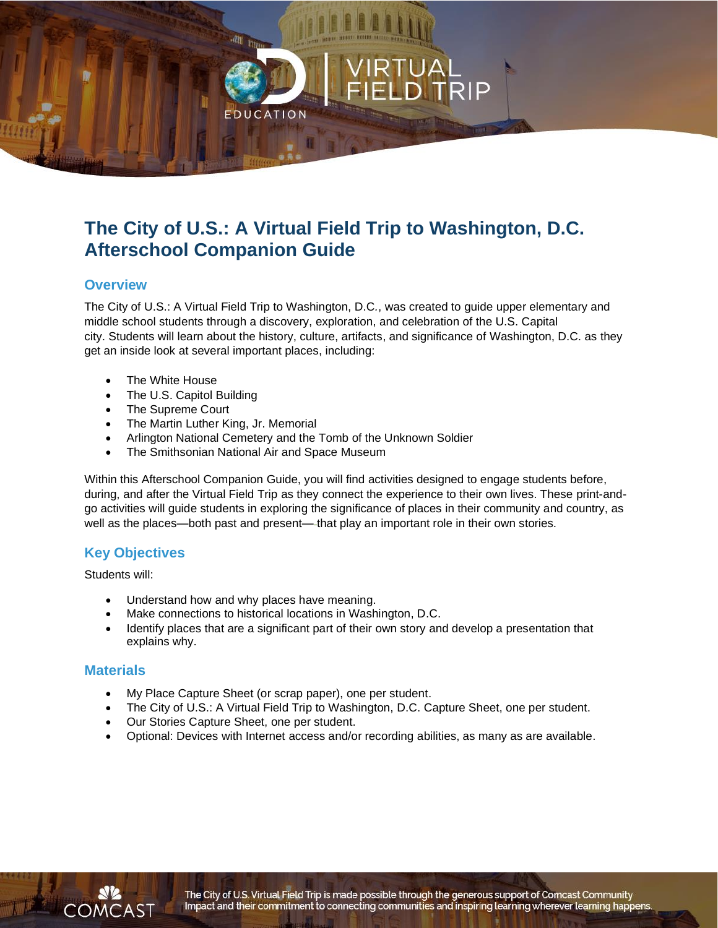## **The City of U.S.: A Virtual Field Trip to Washington, D.C. Afterschool Companion Guide**

### **Overview**

The City of U.S.: A Virtual Field Trip to Washington, D.C*.*, was created to guide upper elementary and middle school students through a discovery, exploration, and celebration of the U.S. Capital city. Students will learn about the history, culture, artifacts, and significance of Washington, D.C. as they get an inside look at several important places, including:

- The White House
- The U.S. Capitol Building
- The Supreme Court
- The Martin Luther King, Jr. Memorial
- Arlington National Cemetery and the Tomb of the Unknown Soldier

CATION

• The Smithsonian National Air and Space Museum

Within this Afterschool Companion Guide, you will find activities designed to engage students before, during, and after the Virtual Field Trip as they connect the experience to their own lives. These print-andgo activities will guide students in exploring the significance of places in their community and country, as well as the places—both past and present— that play an important role in their own stories.

### **Key Objectives**

Students will:

- Understand how and why places have meaning.
- Make connections to historical locations in Washington, D.C.
- Identify places that are a significant part of their own story and develop a presentation that explains why.

#### **Materials**

- My Place Capture Sheet (or scrap paper), one per student.
- The City of U.S.: A Virtual Field Trip to Washington, D.C. Capture Sheet, one per student.
- Our Stories Capture Sheet, one per student.
- Optional: Devices with Internet access and/or recording abilities, as many as are available.

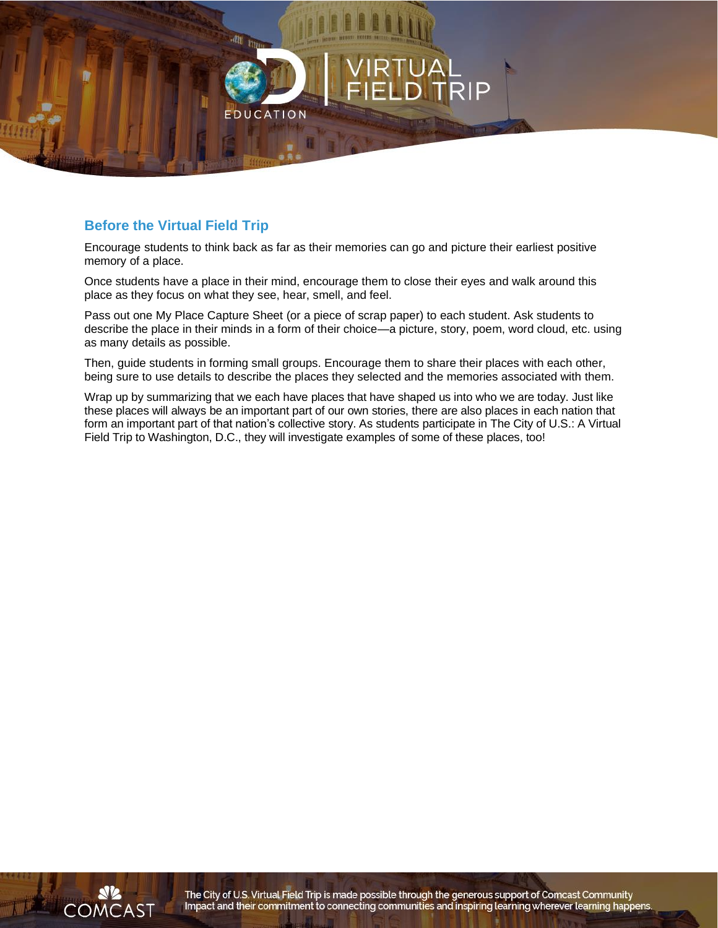

## **Before the Virtual Field Trip**

Encourage students to think back as far as their memories can go and picture their earliest positive memory of a place.

Once students have a place in their mind, encourage them to close their eyes and walk around this place as they focus on what they see, hear, smell, and feel.

Pass out one My Place Capture Sheet (or a piece of scrap paper) to each student. Ask students to describe the place in their minds in a form of their choice—a picture, story, poem, word cloud, etc. using as many details as possible.

Then, guide students in forming small groups. Encourage them to share their places with each other, being sure to use details to describe the places they selected and the memories associated with them.

Wrap up by summarizing that we each have places that have shaped us into who we are today. Just like these places will always be an important part of our own stories, there are also places in each nation that form an important part of that nation's collective story. As students participate in The City of U.S.: A Virtual Field Trip to Washington, D.C., they will investigate examples of some of these places, too!



The City of U.S. Virtual Field Trip is made possible through the generous support of Comcast Community Impact and their commitment to connecting communities and inspiring learning wherever learning happens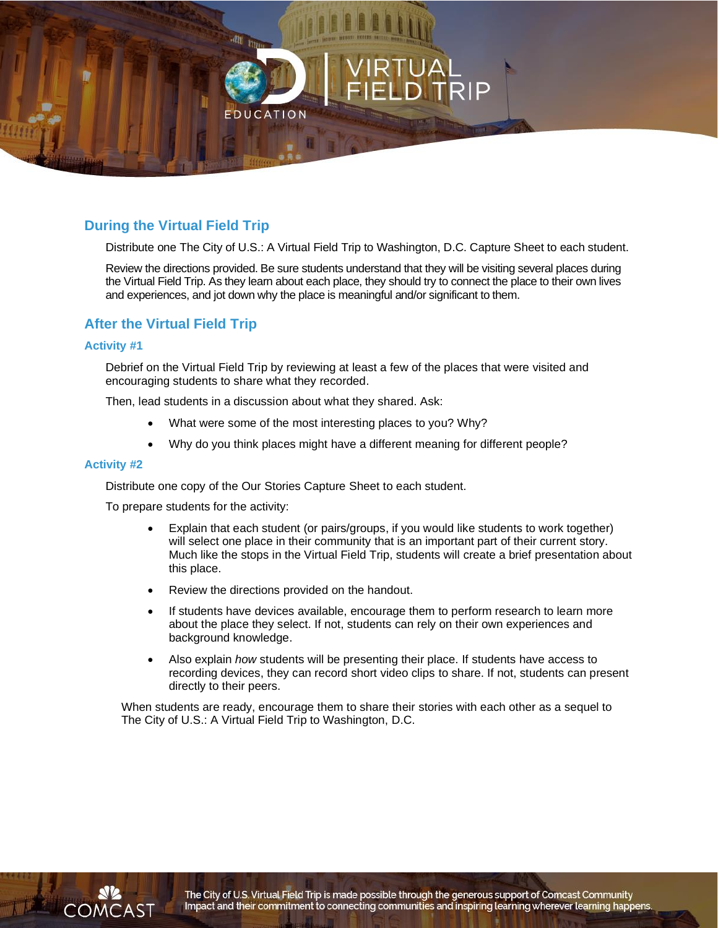

## **During the Virtual Field Trip**

Distribute one The City of U.S.: A Virtual Field Trip to Washington, D.C. Capture Sheet to each student.

Review the directions provided. Be sure students understand that they will be visiting several places during the Virtual Field Trip. As they learn about each place, they should try to connect the place to their own lives and experiences, and jot down why the place is meaningful and/or significant to them.

## **After the Virtual Field Trip**

#### **Activity #1**

Debrief on the Virtual Field Trip by reviewing at least a few of the places that were visited and encouraging students to share what they recorded.

Then, lead students in a discussion about what they shared. Ask:

- What were some of the most interesting places to you? Why?
- Why do you think places might have a different meaning for different people?

#### **Activity #2**

Distribute one copy of the Our Stories Capture Sheet to each student.

To prepare students for the activity:

- Explain that each student (or pairs/groups, if you would like students to work together) will select one place in their community that is an important part of their current story. Much like the stops in the Virtual Field Trip, students will create a brief presentation about this place.
- Review the directions provided on the handout.
- If students have devices available, encourage them to perform research to learn more about the place they select. If not, students can rely on their own experiences and background knowledge.
- Also explain *how* students will be presenting their place. If students have access to recording devices, they can record short video clips to share. If not, students can present directly to their peers.

When students are ready, encourage them to share their stories with each other as a sequel to The City of U.S.: A Virtual Field Trip to Washington, D.C.



The City of U.S. Virtual Field Trip is made possible through the generous support of Comcast Community Impact and their commitment to connecting communities and inspiring learning wherever learning happens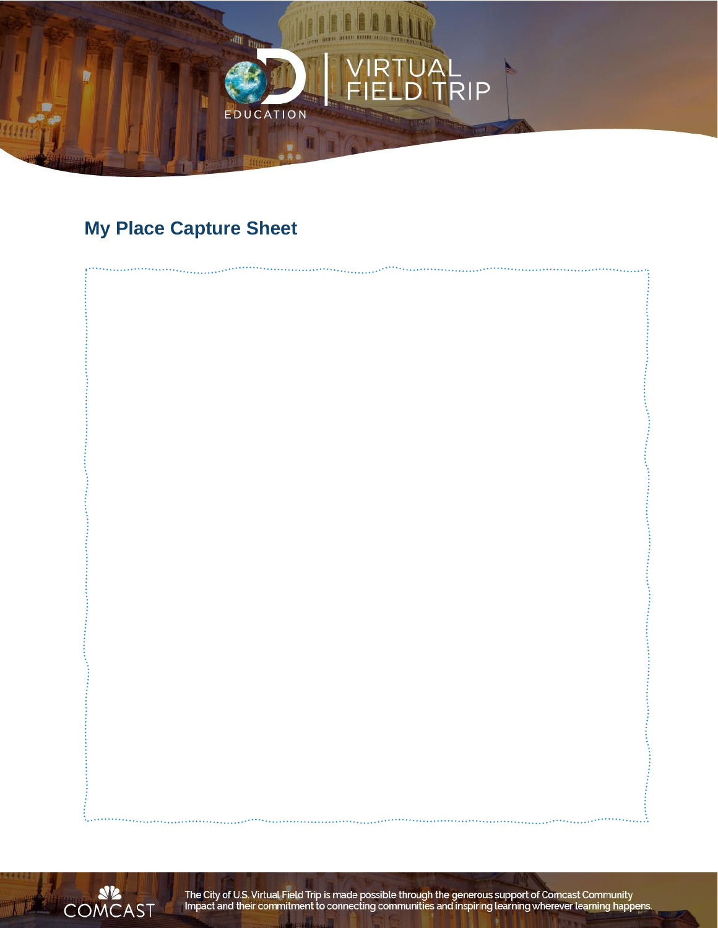

# **My Place Capture Sheet**





The City of U.S. Virtual Field Trip is made possible through the generous support of Comcast Community<br>Impact and their commitment to connecting communities and inspiring learning wherever learning happens.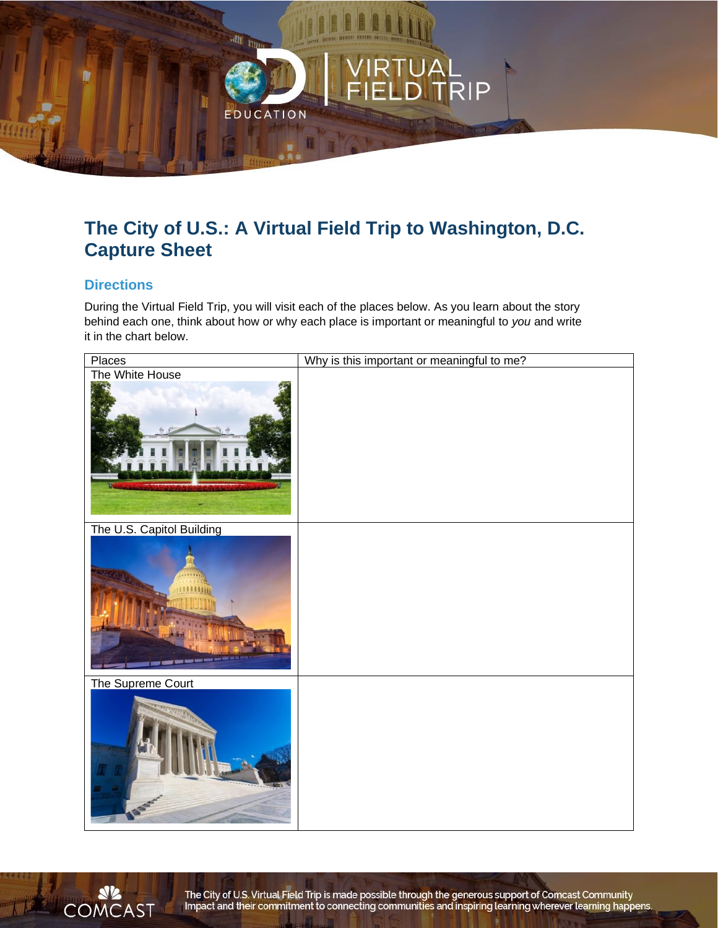

## **The City of U.S.: A Virtual Field Trip to Washington, D.C. Capture Sheet**

## **Directions**

During the Virtual Field Trip, you will visit each of the places below. As you learn about the story behind each one, think about how or why each place is important or meaningful to *you* and write it in the chart below.





The City of U.S. Virtual Field Trip is made possible through the generous support of Comcast Community Impact and their commitment to connecting communities and inspiring learning wherever learning happens.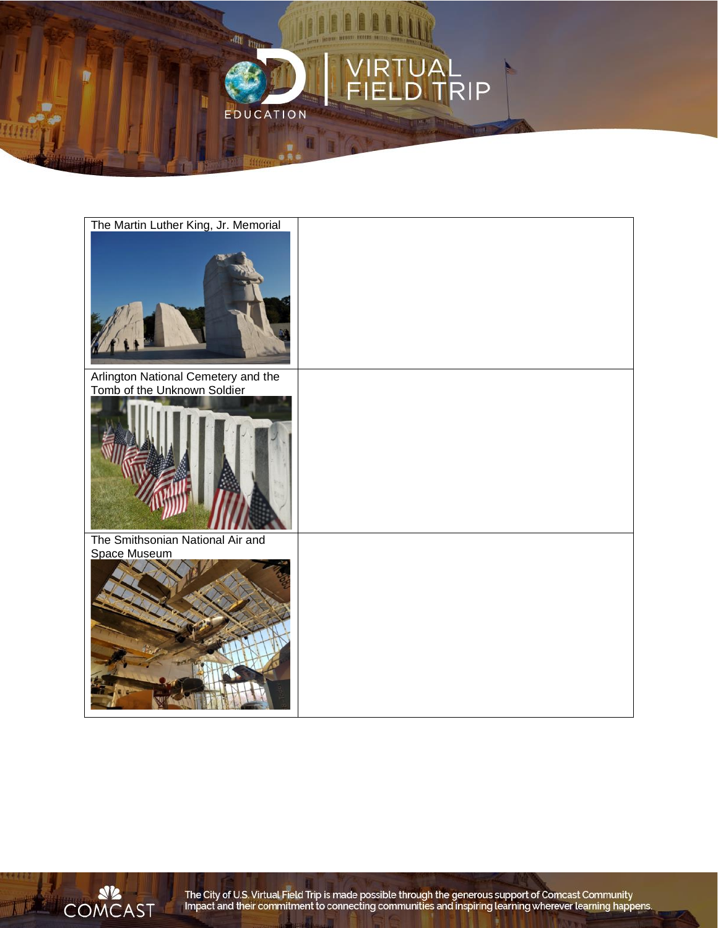





The City of U.S. Virtual Field Trip is made possible through the generous support of Comcast Community<br>Impact and their commitment to connecting communities and inspiring learning wherever learning happens.